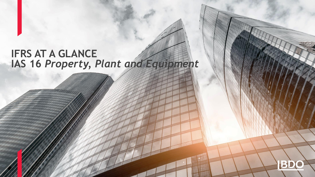# **IFRS AT A GLANCE IAS 16** *Property, Plant and Equipment*

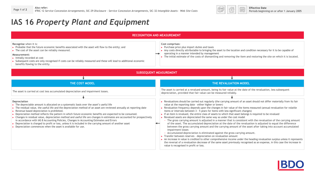

 $0 - 0 - 0$ 

EED

#### **IAS 16** *Property Plant and Equipment*

| Recognise when it is:<br>▶ Probable that the future economic benefits associated with the asset will flow to the entity; and<br>$\triangleright$ The cost of the asset can be reliably measured.<br>Measurement:<br>$\triangleright$ Initially recorded at cost<br>Subsequent costs are only recognised if costs can be reliably measured and these will lead to additional economic<br>benefits flowing to the entity.                                                                                                                                                                                                                                                                                                                                                                                          | Cost comprises:<br>$\triangleright$ Purchase price plus import duties and taxes<br>Any costs directly attributable to bringing the asset to the location and condition necessary for it to be capable of<br>operating in a manner intended by management<br>► The initial estimate of the costs of dismantling and removing the item and restoring the site on which it is located.                                                                                                                                                                                                                                                                                                                                                                                                                                                                                                                                                                                                                                                                                                                                                                                                                                                                                                                                                                                                                                  |  |  |  |
|------------------------------------------------------------------------------------------------------------------------------------------------------------------------------------------------------------------------------------------------------------------------------------------------------------------------------------------------------------------------------------------------------------------------------------------------------------------------------------------------------------------------------------------------------------------------------------------------------------------------------------------------------------------------------------------------------------------------------------------------------------------------------------------------------------------|----------------------------------------------------------------------------------------------------------------------------------------------------------------------------------------------------------------------------------------------------------------------------------------------------------------------------------------------------------------------------------------------------------------------------------------------------------------------------------------------------------------------------------------------------------------------------------------------------------------------------------------------------------------------------------------------------------------------------------------------------------------------------------------------------------------------------------------------------------------------------------------------------------------------------------------------------------------------------------------------------------------------------------------------------------------------------------------------------------------------------------------------------------------------------------------------------------------------------------------------------------------------------------------------------------------------------------------------------------------------------------------------------------------------|--|--|--|
|                                                                                                                                                                                                                                                                                                                                                                                                                                                                                                                                                                                                                                                                                                                                                                                                                  | <b>SUBSEQUENT MEASUREMENT</b>                                                                                                                                                                                                                                                                                                                                                                                                                                                                                                                                                                                                                                                                                                                                                                                                                                                                                                                                                                                                                                                                                                                                                                                                                                                                                                                                                                                        |  |  |  |
|                                                                                                                                                                                                                                                                                                                                                                                                                                                                                                                                                                                                                                                                                                                                                                                                                  |                                                                                                                                                                                                                                                                                                                                                                                                                                                                                                                                                                                                                                                                                                                                                                                                                                                                                                                                                                                                                                                                                                                                                                                                                                                                                                                                                                                                                      |  |  |  |
| THE COST MODEL                                                                                                                                                                                                                                                                                                                                                                                                                                                                                                                                                                                                                                                                                                                                                                                                   | THE REVALUATION MODEL                                                                                                                                                                                                                                                                                                                                                                                                                                                                                                                                                                                                                                                                                                                                                                                                                                                                                                                                                                                                                                                                                                                                                                                                                                                                                                                                                                                                |  |  |  |
| The asset is carried at cost less accumulated depreciation and impairment losses.                                                                                                                                                                                                                                                                                                                                                                                                                                                                                                                                                                                                                                                                                                                                | The asset is carried at a revalued amount, being its fair value at the date of the revaluation, less subsequent<br>depreciation, provided that fair value can be measured reliably.                                                                                                                                                                                                                                                                                                                                                                                                                                                                                                                                                                                                                                                                                                                                                                                                                                                                                                                                                                                                                                                                                                                                                                                                                                  |  |  |  |
|                                                                                                                                                                                                                                                                                                                                                                                                                                                                                                                                                                                                                                                                                                                                                                                                                  |                                                                                                                                                                                                                                                                                                                                                                                                                                                                                                                                                                                                                                                                                                                                                                                                                                                                                                                                                                                                                                                                                                                                                                                                                                                                                                                                                                                                                      |  |  |  |
| Depreciation<br>The depreciable amount is allocated on a systematic basis over the asset's useful life<br>The residual value, the useful life and the depreciation method of an asset are reviewed annually at reporting date<br>$\triangleright$ Revenue based depreciation is prohibited.<br>▶ Depreciation method reflects the pattern in which future economic benefits are expected to be consumed.<br>• Changes in residual value, depreciation method and useful life are changes in estimates are accounted for prospectively<br>in accordance with IAS 8 Accounting Policies, Changes in Accounting Estimates and Errors<br>► Depreciation is charged to profit or loss, unless it is included in the carrying amount of another asset<br>> Depreciation commences when the asset is available for use. | Revaluations should be carried out regularly (the carrying amount of an asset should not differ materially from its fair<br>value at the reporting date - either higher or lower)<br>Revaluation frequency depends upon the changes in fair value of the items measured (annual revaluation for volatile<br>items or intervals between 3 - 5 years for items with less significant changes)<br>If an item is revalued, the entire class of assets to which that asset belongs is required to be revalued<br>Revalued assets are depreciated the same way as under the cost model<br>- The gross carrying amount is adjusted in a manner that is consistent with the revaluation of the carrying amount<br>of the asset. The accumulated depreciation at the date of the revaluation is adjusted to equal the difference<br>between the gross carrying amount and the carrying amount of the asset after taking into account accumulated<br>impairment losses<br>- Accumulated depreciation is eliminated against the gross carrying amount.<br>► Transfer between reserves - depreciation on revaluation amount<br>An increase in value is credited to other comprehensive income under the heading revaluation surplus unless it represents<br>the reversal of a revaluation decrease of the same asset previously recognised as an expense, in this case the increase in<br>value is recognised in profit or loss. |  |  |  |

**RECOGNITION AND MEASUREMENT**

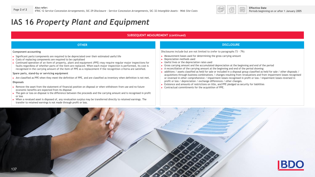

 $rac{0-0-0}{88800}$ 

## **IAS 16** *Property Plant and Equipment*

#### **SUBSEQUENT MEASUREMENT (continued)**

| <b>OTHER</b>                                                                                                                                                                                                                                                                                                                                                                                                                                                                                                                                                                                                                                                                                                                                                                                                                                                                                                                                                                                                                                                                                                                                                                                                                                                  | <b>DISCLOSURE</b>                                                                                                                                                                                                                                                                                                                                                                                                                                                                                                                                                                                                                                                                                                                                                                                                                                                                                                                                                                                                                                                                          |
|---------------------------------------------------------------------------------------------------------------------------------------------------------------------------------------------------------------------------------------------------------------------------------------------------------------------------------------------------------------------------------------------------------------------------------------------------------------------------------------------------------------------------------------------------------------------------------------------------------------------------------------------------------------------------------------------------------------------------------------------------------------------------------------------------------------------------------------------------------------------------------------------------------------------------------------------------------------------------------------------------------------------------------------------------------------------------------------------------------------------------------------------------------------------------------------------------------------------------------------------------------------|--------------------------------------------------------------------------------------------------------------------------------------------------------------------------------------------------------------------------------------------------------------------------------------------------------------------------------------------------------------------------------------------------------------------------------------------------------------------------------------------------------------------------------------------------------------------------------------------------------------------------------------------------------------------------------------------------------------------------------------------------------------------------------------------------------------------------------------------------------------------------------------------------------------------------------------------------------------------------------------------------------------------------------------------------------------------------------------------|
| Component accounting<br>Significant parts/components are required to be depreciated over their estimated useful life<br>► Costs of replacing components are required to be capitalised<br>► Continued operation of an item of property, plant and equipment (PPE) may require regular major inspections for<br>faults regardless of whether parts of the item are replaced. When each major inspection is performed, its cost is<br>recognised in the carrying amount of the item of PPE as a replacement if the recognition criteria are satisfied.<br>Spare parts, stand-by or servicing equipment<br>Are classified as PPE when they meet the definition of PPE, and are classified as inventory when definition is not met.<br><b>Disposals</b><br>Remove the asset from the statement of financial position on disposal or when withdrawn from use and no future<br>economic benefits are expected from its disposal<br>The gain or loss on disposal is the difference between the proceeds and the carrying amount and is recognised in profit<br>or loss<br>► When a revalued asset is disposed of, any revaluation surplus may be transferred directly to retained earnings. The<br>transfer to retained earnings is not made through profit or loss. | Disclosures include but are not limited to (refer to paragraphs 73 - 79):<br>$\triangleright$ Measurement bases used for determining the gross carrying amount<br>Depreciation methods used<br>$\triangleright$ Useful lives or the depreciation rates used<br>Gross carrying amount and the accumulated depreciation at the beginning and end of the period<br>A reconciliation of the carrying amount at the beginning and end of the period showing:<br>additions / assets classified as held for sale or included in a disposal group classified as held for sale / other disposals /<br>acquisitions through business combinations / changes resulting from revaluations and from impairment losses recognised<br>or reversed in other comprehensive / impairment losses recognised in profit or loss / impairment losses reversed in<br>profit or loss / depreciation / exchange differences / other changes.<br>Existence and amounts of restrictions on title, and PPE pledged as security for liabilities<br>$\triangleright$ Contractual commitments for the acquisition of PPE. |

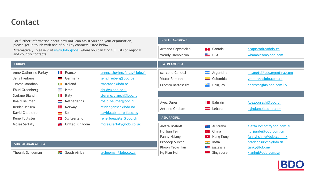## **Contact**

| For further information about how BDO can assist you and your organisation,<br>please get in touch with one of our key contacts listed below.<br>Alternatively, please visit www.bdo.global where you can find full lists of regional<br>and country contacts. |              | <b>NORTH AMERICA &amp;</b>                   |                             |                                              |                                           |                       |                           |
|----------------------------------------------------------------------------------------------------------------------------------------------------------------------------------------------------------------------------------------------------------------|--------------|----------------------------------------------|-----------------------------|----------------------------------------------|-------------------------------------------|-----------------------|---------------------------|
|                                                                                                                                                                                                                                                                |              | <b>Armand Capisciolto</b><br>Wendy Hambleton |                             | $\lceil \cdot \rceil$ Canada<br>$\equiv$ USA | acapisciolto@bdo.ca<br>whambleton@bdo.com |                       |                           |
| <b>EUROPE</b>                                                                                                                                                                                                                                                  |              |                                              |                             | <b>LATIN AMERICA</b>                         |                                           |                       |                           |
| Anne Catherine Farlay                                                                                                                                                                                                                                          |              | $\blacksquare$ France                        | annecatherine.farlay@bdo.fr | Marcello Canetti                             | man i                                     | Argentina             | mcanetti@bdoargentina.com |
| Jens Freiberg                                                                                                                                                                                                                                                  | -            | Germany                                      | jens.freiberg@bdo.de        | <b>Victor Ramirez</b>                        |                                           | Colombia              | vramirez@bdo.com.co       |
| Teresa Morahan                                                                                                                                                                                                                                                 | T T          | Ireland                                      | tmorahan@bdo.ie             | Ernesto Bartesaghi                           |                                           | $\equiv$ Uruguay      | ebartesaghi@bdo.com.uy    |
| Ehud Greenberg                                                                                                                                                                                                                                                 | $\sim 32$    | Israel                                       | ehudg@bdo.co.il             |                                              |                                           |                       |                           |
| Stefano Bianchi                                                                                                                                                                                                                                                |              | $\blacksquare$ Italy                         | stefano.bianchi@bdo.it      |                                              |                                           |                       |                           |
| Roald Beumer                                                                                                                                                                                                                                                   |              | Netherlands                                  | roald.beumer@bdo.nl         | Ayez Qureshi                                 |                                           | Bahrain               | Ayez.gureshi@bdo.bh       |
| Reidar Jensen                                                                                                                                                                                                                                                  | ╈═           | Norway                                       | reidar.jensen@bdo.no        | Antoine Gholam                               |                                           | $\frac{1}{2}$ Lebanon | agholam@bdo-lb.com        |
| David Cabaleiro                                                                                                                                                                                                                                                | $\equiv$     | Spain                                        | david.cabaleiro@bdo.es      |                                              |                                           |                       |                           |
| René Füglister                                                                                                                                                                                                                                                 | $\mathbf{r}$ | Switzerland                                  | rene.fueglister@bdo.ch      | <b>ASIA PACIFIC</b>                          |                                           |                       |                           |
| Moses Serfaty                                                                                                                                                                                                                                                  | 읦            | United Kingdom                               | moses.serfaty@bdo.co.uk     | Aletta Boshoff                               | सम्बद्धाः                                 | Australia             | aletta.boshoff@bdo.com.au |
|                                                                                                                                                                                                                                                                |              |                                              |                             | Hu Jian Fei                                  | $90 -$                                    | China                 | hu.jianfei@bdo.com.cn     |
|                                                                                                                                                                                                                                                                |              |                                              |                             | Fanny Hsiang                                 |                                           | $\star$ Hong Kong     | fannyhsiang@bdo.com.hk    |
| <b>SUB SAHARAN AFRICA</b>                                                                                                                                                                                                                                      |              |                                              |                             | Pradeep Suresh                               | $\overline{\phantom{a}}$                  | India                 | pradeepsuresh@bdo.in      |
|                                                                                                                                                                                                                                                                |              |                                              |                             | Khoon Yeow Tan                               | $\circ$ $=$                               | Malaysia              | tanky@bdo.my              |
| Theunis Schoeman                                                                                                                                                                                                                                               | y≡           | South Africa                                 | tschoeman@bdo.co.za         | Ng Kian Hui                                  |                                           | Singapore             | kianhui@bdo.com.sg        |